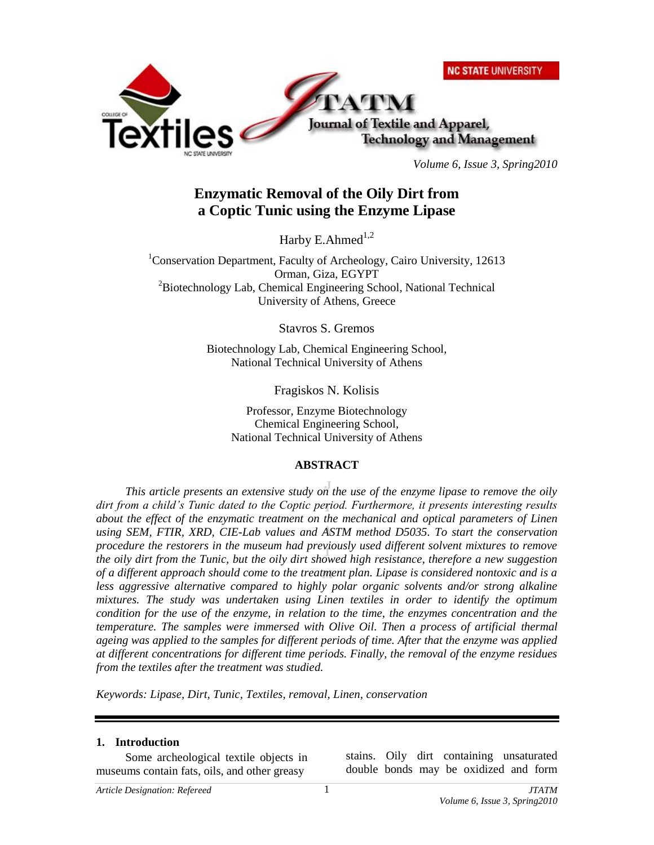|                      | <b>NC STATE UNIVERSITY</b>       |
|----------------------|----------------------------------|
|                      |                                  |
|                      | Journal of Textile and Apparel,  |
| NO STATE LINIVERSITY | <b>Technology and Management</b> |

*Volume 6, Issue 3, Spring2010*

# **Enzymatic Removal of the Oily Dirt from a Coptic Tunic using the Enzyme Lipase**

Harby E.Ahmed $^{1,2}$ 

<sup>1</sup>Conservation Department, Faculty of Archeology, Cairo University, 12613 Orman, Giza, EGYPT <sup>2</sup>Biotechnology Lab, Chemical Engineering School, National Technical University of Athens, Greece

Stavros S. Gremos

Biotechnology Lab, Chemical Engineering School, National Technical University of Athens

Fragiskos N. Kolisis

Professor, Enzyme Biotechnology Chemical Engineering School, National Technical University of Athens

### **ABSTRACT**

*This article presents an extensive study on the use of the enzyme lipase to remove the oily dirt from a child's Tunic dated to the Coptic period. Furthermore, it presents interesting results about the effect of the enzymatic treatment on the mechanical and optical parameters of Linen using SEM, FTIR, XRD, CIE-Lab values and ASTM method D5035. To start the conservation procedure the restorers in the museum had previously used different solvent mixtures to remove the oily dirt from the Tunic, but the oily dirt showed high resistance, therefore a new suggestion of a different approach should come to the treatment plan. Lipase is considered nontoxic and is a*  less aggressive alternative compared to highly polar organic solvents and/or strong alkaline *mixtures. The study was undertaken using Linen textiles in order to identify the optimum condition for the use of the enzyme, in relation to the time, the enzymes concentration and the temperature. The samples were immersed with Olive Oil. Then a process of artificial thermal ageing was applied to the samples for different periods of time. After that the enzyme was applied at different concentrations for different time periods. Finally, the removal of the enzyme residues from the textiles after the treatment was studied.* 

*Keywords: Lipase, Dirt, Tunic, Textiles, removal, Linen, conservation*

### **1. Introduction**

Some archeological textile objects in museums contain fats, oils, and other greasy

stains. Oily dirt containing unsaturated double bonds may be oxidized and form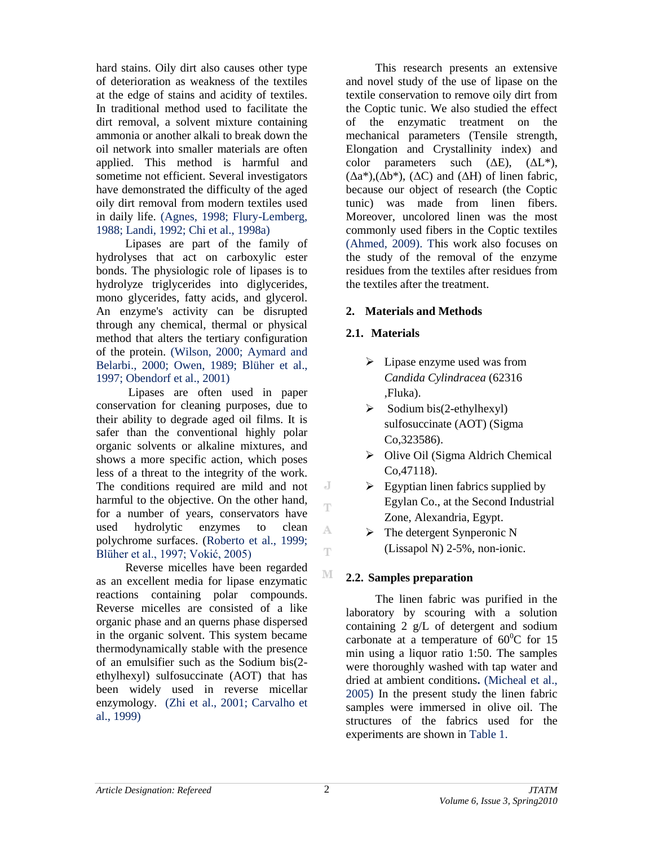hard stains. Oily dirt also causes other type of deterioration as weakness of the textiles at the edge of stains and acidity of textiles. In traditional method used to facilitate the dirt removal, a solvent mixture containing ammonia or another alkali to break down the oil network into smaller materials are often applied. This method is harmful and sometime not efficient. Several investigators have demonstrated the difficulty of the aged oily dirt removal from modern textiles used in daily life. (Agnes, 1998; Flury-Lemberg, 1988; Landi, 1992; Chi et al., 1998a)

Lipases are part of the family of hydrolyses that act on carboxylic ester bonds. The physiologic role of lipases is to hydrolyze triglycerides into diglycerides, mono glycerides, fatty acids, and glycerol. An enzyme's activity can be disrupted through any chemical, thermal or physical method that alters the tertiary configuration of the protein. (Wilson, 2000; Aymard and Belarbi., 2000; Owen, 1989; Blüher et al., 1997; Obendorf et al., 2001)

Lipases are often used in paper conservation for cleaning purposes, due to their ability to degrade aged oil films. It is safer than the conventional highly polar organic solvents or alkaline mixtures, and shows a more specific action, which poses less of a threat to the integrity of the work. The conditions required are mild and not harmful to the objective. On the other hand, for a number of years, conservators have used hydrolytic enzymes to clean polychrome surfaces. (Roberto et al., 1999; Blüher et al., 1997; Vokić, 2005)

Reverse micelles have been regarded as an excellent media for lipase enzymatic reactions containing polar compounds. Reverse micelles are consisted of a like organic phase and an querns phase dispersed in the organic solvent. This system became thermodynamically stable with the presence of an emulsifier such as the Sodium bis(2 ethylhexyl) sulfosuccinate (AOT) that has been widely used in reverse micellar enzymology. (Zhi et al., 2001; Carvalho et al., 1999)

This research presents an extensive and novel study of the use of lipase on the textile conservation to remove oily dirt from the Coptic tunic. We also studied the effect of the enzymatic treatment on the mechanical parameters (Tensile strength, Elongation and Crystallinity index) and color parameters such  $(\Delta E)$ ,  $(\Delta L^*)$ ,  $(\Delta a^*), (\Delta b^*), (\Delta C)$  and  $(\Delta H)$  of linen fabric, because our object of research (the Coptic tunic) was made from linen fibers. Moreover, uncolored linen was the most commonly used fibers in the Coptic textiles (Ahmed, 2009). This work also focuses on the study of the removal of the enzyme residues from the textiles after residues from the textiles after the treatment.

### **2. Materials and Methods**

### **2.1. Materials**

- $\triangleright$  Lipase enzyme used was from *Candida Cylindracea* (62316 ,Fluka).
- $\triangleright$  Sodium bis(2-ethylhexyl) sulfosuccinate (AOT) (Sigma Co,323586).
- $\triangleright$  Olive Oil (Sigma Aldrich Chemical Co,47118).
- $\triangleright$  Egyptian linen fabrics supplied by Egylan Co., at the Second Industrial Zone, Alexandria, Egypt.
- $\triangleright$  The detergent Synperonic N (Lissapol N) 2-5%, non-ionic.

# **2.2. Samples preparation**

The linen fabric was purified in the laboratory by scouring with a solution containing 2 g/L of detergent and sodium carbonate at a temperature of  $60^{\circ}$ C for 15 min using a liquor ratio 1:50. The samples were thoroughly washed with tap water and dried at ambient conditions**.** (Micheal et al., 2005) In the present study the linen fabric samples were immersed in olive oil. The structures of the fabrics used for the experiments are shown in Table 1.

J T

A T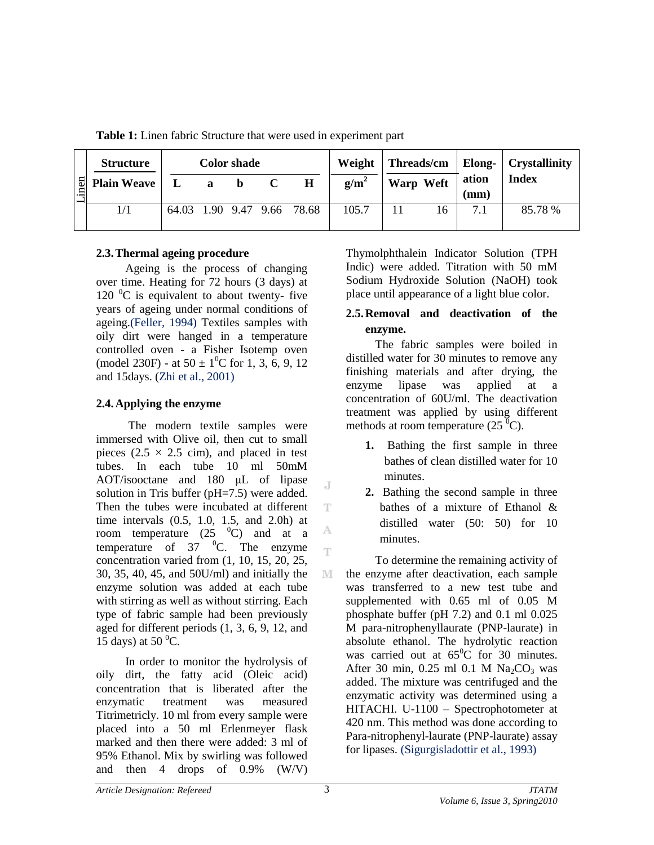**Table 1:** Linen fabric Structure that were used in experiment part

|        | <b>Structure</b>   |          | <b>Color shade</b> |              |                            |         | Weight   Threads/cm   Elong-   Crystallinity |    |               |              |
|--------|--------------------|----------|--------------------|--------------|----------------------------|---------|----------------------------------------------|----|---------------|--------------|
| $n$ en | <b>Plain Weave</b> | $\bf{L}$ | a b                | $\mathbf{C}$ | $\bf H$                    | $g/m^2$ | <b>Warp Weft</b>                             |    | ation<br>(mm) | <b>Index</b> |
|        | 1/1                |          |                    |              | 64.03 1.90 9.47 9.66 78.68 | 105.7   |                                              | 16 | 7.1           | 85.78 %      |

# **2.3.Thermal ageing procedure**

Ageing is the process of changing over time. Heating for 72 hours (3 days) at 120  $\mathrm{^0C}$  is equivalent to about twenty- five years of ageing under normal conditions of ageing.(Feller, 1994) Textiles samples with oily dirt were hanged in a temperature controlled oven - a Fisher Isotemp oven (model 230F) - at  $50 \pm 1^0$ C for 1, 3, 6, 9, 12 and 15days. (Zhi et al., 2001)

# **2.4.Applying the enzyme**

The modern textile samples were immersed with Olive oil, then cut to small pieces (2.5  $\times$  2.5 cim), and placed in test tubes. In each tube 10 ml 50mM AOT/isooctane and 180 μL of lipase solution in Tris buffer (pH=7.5) were added. Then the tubes were incubated at different time intervals (0.5, 1.0, 1.5, and 2.0h) at room temperature  $(25 \text{ } ^{0}C)$  and at a temperature of  $37 \text{ °C}$ . The enzyme concentration varied from (1, 10, 15, 20, 25, 30, 35, 40, 45, and 50U/ml) and initially the enzyme solution was added at each tube with stirring as well as without stirring. Each type of fabric sample had been previously aged for different periods (1, 3, 6, 9, 12, and 15 days) at 50 $^{\circ}$ C.

In order to monitor the hydrolysis of oily dirt, the fatty acid (Oleic acid) concentration that is liberated after the enzymatic treatment was measured Titrimetricly. 10 ml from every sample were placed into a 50 ml Erlenmeyer flask marked and then there were added: 3 ml of 95% Ethanol. Mix by swirling was followed and then 4 drops of 0.9% (W/V)

Thymolphthalein Indicator Solution (TPH Indic) were added. Titration with 50 mM Sodium Hydroxide Solution (NaOH) took place until appearance of a light blue color.

# **2.5.Removal and deactivation of the enzyme.**

The fabric samples were boiled in distilled water for 30 minutes to remove any finishing materials and after drying, the enzyme lipase was applied at a concentration of 60U/ml. The deactivation treatment was applied by using different methods at room temperature  $(25<sup>0</sup>C)$ .

- **1.** Bathing the first sample in three bathes of clean distilled water for 10 minutes.
- **2.** Bathing the second sample in three bathes of a mixture of Ethanol & distilled water (50: 50) for 10 minutes.

To determine the remaining activity of the enzyme after deactivation, each sample was transferred to a new test tube and supplemented with 0.65 ml of 0.05 M phosphate buffer (pH 7.2) and 0.1 ml 0.025 M para-nitrophenyllaurate (PNP-laurate) in absolute ethanol. The hydrolytic reaction was carried out at  $65^{\circ}$ C for 30 minutes. After 30 min,  $0.25$  ml  $0.1$  M Na<sub>2</sub>CO<sub>3</sub> was added. The mixture was centrifuged and the enzymatic activity was determined using a HITACHI. U-1100 – Spectrophotometer at 420 nm. This method was done according to Para-nitrophenyl-laurate (PNP-laurate) assay for lipases. (Sigurgisladottir et al., 1993)

J

T

A Ŧ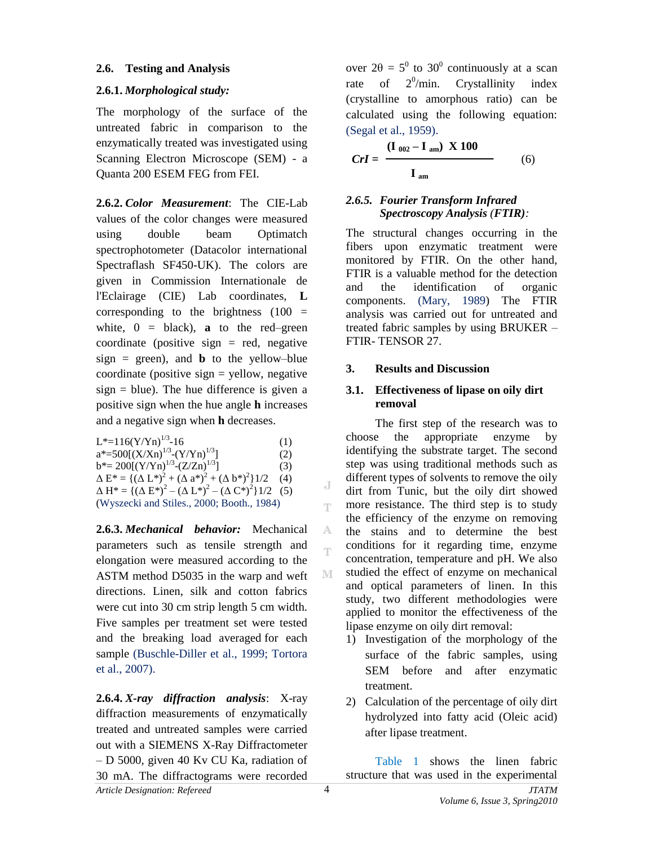#### **2.6. Testing and Analysis**

### **2.6.1.** *Morphological study:*

The morphology of the surface of the untreated fabric in comparison to the enzymatically treated was investigated using Scanning Electron Microscope (SEM) - a Quanta 200 ESEM FEG from FEI.

**2.6.2.** *Color Measurement*: The CIE-Lab values of the color changes were measured using double beam Optimatch spectrophotometer (Datacolor international Spectraflash SF450-UK). The colors are given in Commission Internationale de l'Eclairage (CIE) Lab coordinates, **L** corresponding to the brightness  $(100 =$ white,  $0 = 1$  black), **a** to the red–green coordinate (positive sign  $=$  red, negative  $sign = green)$ , and **b** to the yellow-blue coordinate (positive sign  $=$  yellow, negative  $sign = blue$ ). The hue difference is given a positive sign when the hue angle **h** increases and a negative sign when **h** decreases.

| $L^*$ =116(Y/Yn) <sup>1/3</sup> -16                                           | (1) |
|-------------------------------------------------------------------------------|-----|
| $a^* = 500[(X/Xn)^{1/3}-(Y/Yn)^{1/3}]$                                        | (2) |
| $b^* = 200[(Y/Yn)^{1/3}-(Z/Zn)^{1/3}]$                                        | (3) |
| $\Delta E^* = \{ (\Delta L^*)^2 + (\Delta a^*)^2 + (\Delta b^*)^2 \} 1/2$     | (4) |
| $\Delta H^* = \{ (\Delta E^*)^2 - (\Delta L^*)^2 - (\Delta C^*)^2 \} 1/2$ (5) |     |
| (Wyszecki and Stiles., 2000; Booth., 1984)                                    |     |

**2.6.3.** *Mechanical behavior:* Mechanical parameters such as tensile strength and elongation were measured according to the ASTM method D5035 in the warp and weft directions. Linen, silk and cotton fabrics were cut into 30 cm strip length 5 cm width. Five samples per treatment set were tested and the breaking load averaged for each sample (Buschle-Diller et al., 1999; Tortora et al., 2007).

*Article Designation: Refereed JTATM* **2.6.4.** *X-ray diffraction analysis*: X-ray diffraction measurements of enzymatically treated and untreated samples were carried out with a SIEMENS X-Ray Diffractometer – D 5000, given 40 Kv CU Ka, radiation of 30 mA. The diffractograms were recorded

over  $2\theta = 5^0$  to 30<sup>0</sup> continuously at a scan rate of  $2^0$ /min. Crystallinity index (crystalline to amorphous ratio) can be calculated using the following equation: (Segal et al., 1959).

$$
Crl = \frac{(\mathbf{I}_{002} - \mathbf{I}_{am}) \times 100}{\mathbf{I}_{am}}
$$
 (6)

### *2.6.5. Fourier Transform Infrared Spectroscopy Analysis (FTIR):*

The structural changes occurring in the fibers upon enzymatic treatment were monitored by FTIR. On the other hand, FTIR is a valuable method for the detection and the identification of organic components. (Mary, 1989) The FTIR analysis was carried out for untreated and treated fabric samples by using BRUKER – FTIR- TENSOR 27.

### **3. Results and Discussion**

### **3.1. Effectiveness of lipase on oily dirt removal**

The first step of the research was to choose the appropriate enzyme by identifying the substrate target. The second step was using traditional methods such as different types of solvents to remove the oily dirt from Tunic, but the oily dirt showed more resistance. The third step is to study the efficiency of the enzyme on removing the stains and to determine the best conditions for it regarding time, enzyme concentration, temperature and pH. We also studied the effect of enzyme on mechanical and optical parameters of linen. In this study, two different methodologies were applied to monitor the effectiveness of the lipase enzyme on oily dirt removal:

- 1) Investigation of the morphology of the surface of the fabric samples, using SEM before and after enzymatic treatment.
- 2) Calculation of the percentage of oily dirt hydrolyzed into fatty acid (Oleic acid) after lipase treatment.

Table 1 shows the linen fabric structure that was used in the experimental

J T.

A m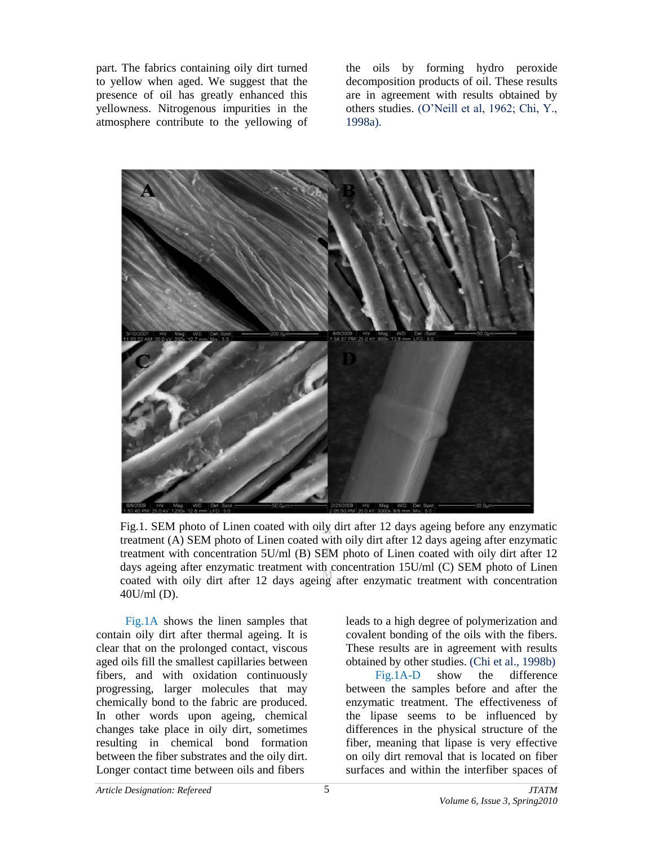part. The fabrics containing oily dirt turned to yellow when aged. We suggest that the presence of oil has greatly enhanced this yellowness. Nitrogenous impurities in the atmosphere contribute to the yellowing of the oils by forming hydro peroxide decomposition products of oil. These results are in agreement with results obtained by others studies. (O'Neill et al, 1962; Chi, Y., 1998a).



Fig.1. SEM photo of Linen coated with oily dirt after 12 days ageing before any enzymatic treatment (A) SEM photo of Linen coated with oily dirt after 12 days ageing after enzymatic treatment with concentration 5U/ml (B) SEM photo of Linen coated with oily dirt after 12 days ageing after enzymatic treatment with concentration 15U/ml (C) SEM photo of Linen coated with oily dirt after 12 days ageing after enzymatic treatment with concentration 40U/ml (D).

Fig.1A shows the linen samples that contain oily dirt after thermal ageing. It is clear that on the prolonged contact, viscous aged oils fill the smallest capillaries between fibers, and with oxidation continuously progressing, larger molecules that may chemically bond to the fabric are produced. In other words upon ageing, chemical changes take place in oily dirt, sometimes resulting in chemical bond formation between the fiber substrates and the oily dirt. Longer contact time between oils and fibers

leads to a high degree of polymerization and covalent bonding of the oils with the fibers. These results are in agreement with results obtained by other studies. (Chi et al., 1998b) Fig.1A-D show the difference between the samples before and after the enzymatic treatment. The effectiveness of the lipase seems to be influenced by differences in the physical structure of the fiber, meaning that lipase is very effective on oily dirt removal that is located on fiber surfaces and within the interfiber spaces of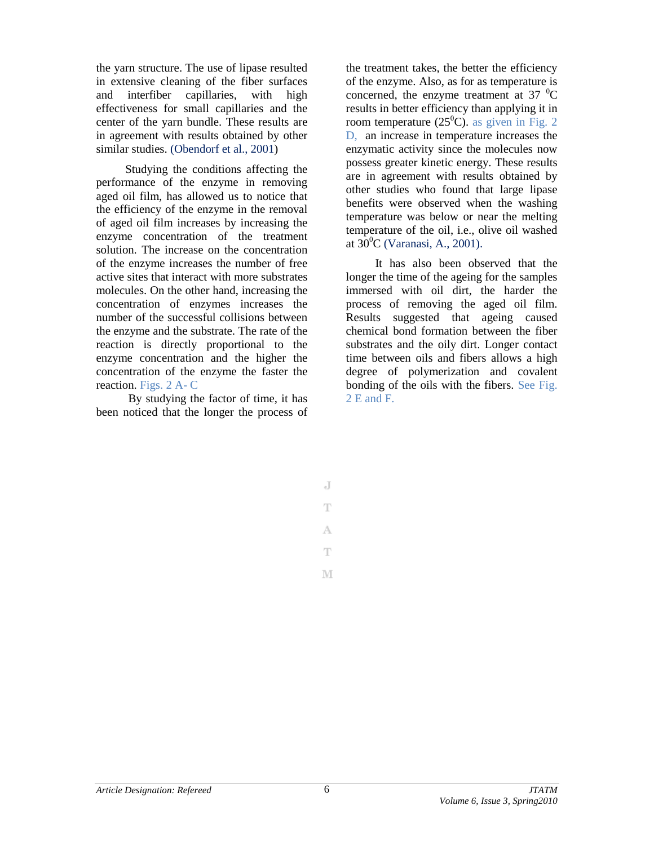the yarn structure. The use of lipase resulted in extensive cleaning of the fiber surfaces and interfiber capillaries, with high effectiveness for small capillaries and the center of the yarn bundle. These results are in agreement with results obtained by other similar studies. (Obendorf et al., 2001)

Studying the conditions affecting the performance of the enzyme in removing aged oil film, has allowed us to notice that the efficiency of the enzyme in the removal of aged oil film increases by increasing the enzyme concentration of the treatment solution. The increase on the concentration of the enzyme increases the number of free active sites that interact with more substrates molecules. On the other hand, increasing the concentration of enzymes increases the number of the successful collisions between the enzyme and the substrate. The rate of the reaction is directly proportional to the enzyme concentration and the higher the concentration of the enzyme the faster the reaction. Figs. 2 A- C

By studying the factor of time, it has been noticed that the longer the process of the treatment takes, the better the efficiency of the enzyme. Also, as for as temperature is concerned, the enzyme treatment at 37 $\mathrm{^{0}C}$ results in better efficiency than applying it in room temperature (25<sup>0</sup>C). as given in Fig. 2 D, an increase in temperature increases the enzymatic activity since the molecules now possess greater kinetic energy. These results are in agreement with results obtained by other studies who found that large lipase benefits were observed when the washing temperature was below or near the melting temperature of the oil, i.e., olive oil washed at  $30^0C$  (Varanasi, A., 2001).

It has also been observed that the longer the time of the ageing for the samples immersed with oil dirt, the harder the process of removing the aged oil film. Results suggested that ageing caused chemical bond formation between the fiber substrates and the oily dirt. Longer contact time between oils and fibers allows a high degree of polymerization and covalent bonding of the oils with the fibers. See Fig. 2 E and F.

J T A Ŧ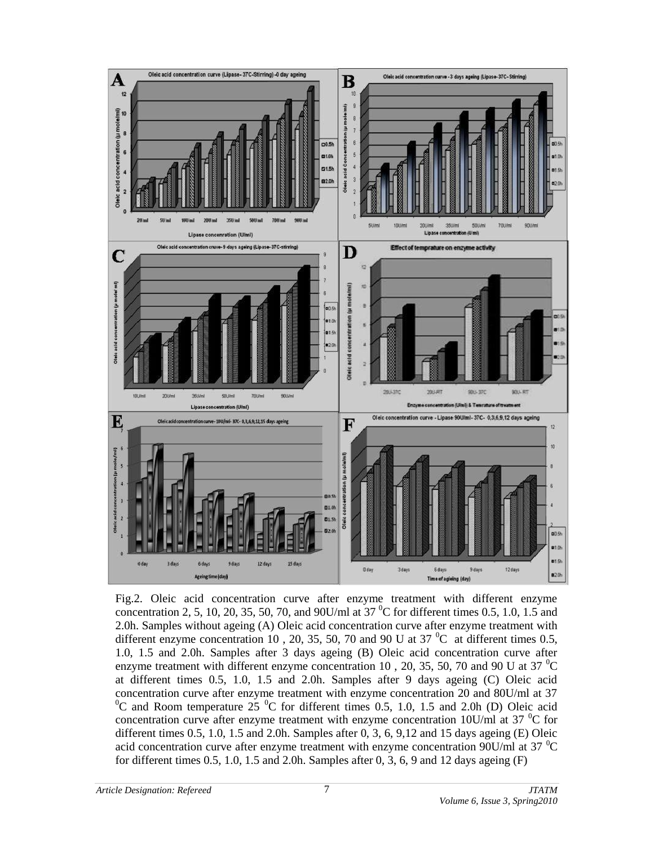

Fig.2. Oleic acid concentration curve after enzyme treatment with different enzyme concentration 2, 5, 10, 20, 35, 50, 70, and 90U/ml at  $37^{\circ}$ C for different times 0.5, 1.0, 1.5 and 2.0h. Samples without ageing (A) Oleic acid concentration curve after enzyme treatment with different enzyme concentration 10, 20, 35, 50, 70 and 90 U at 37  $^{\circ}$ C at different times 0.5, 1.0, 1.5 and 2.0h. Samples after 3 days ageing (B) Oleic acid concentration curve after enzyme treatment with different enzyme concentration 10, 20, 35, 50, 70 and 90 U at 37  $^{\circ}$ C at different times 0.5, 1.0, 1.5 and 2.0h. Samples after 9 days ageing (C) Oleic acid concentration curve after enzyme treatment with enzyme concentration 20 and 80U/ml at 37  $^{0}$ C and Room temperature 25  $^{0}$ C for different times 0.5, 1.0, 1.5 and 2.0h (D) Oleic acid concentration curve after enzyme treatment with enzyme concentration  $10U/ml$  at 37  $\rm{^0C}$  for different times 0.5, 1.0, 1.5 and 2.0h. Samples after 0, 3, 6, 9,12 and 15 days ageing (E) Oleic acid concentration curve after enzyme treatment with enzyme concentration 90U/ml at 37  $^{\circ}$ C for different times  $0.5$ ,  $1.0$ ,  $1.5$  and  $2.0$ h. Samples after  $0, 3, 6, 9$  and  $12$  days ageing  $(F)$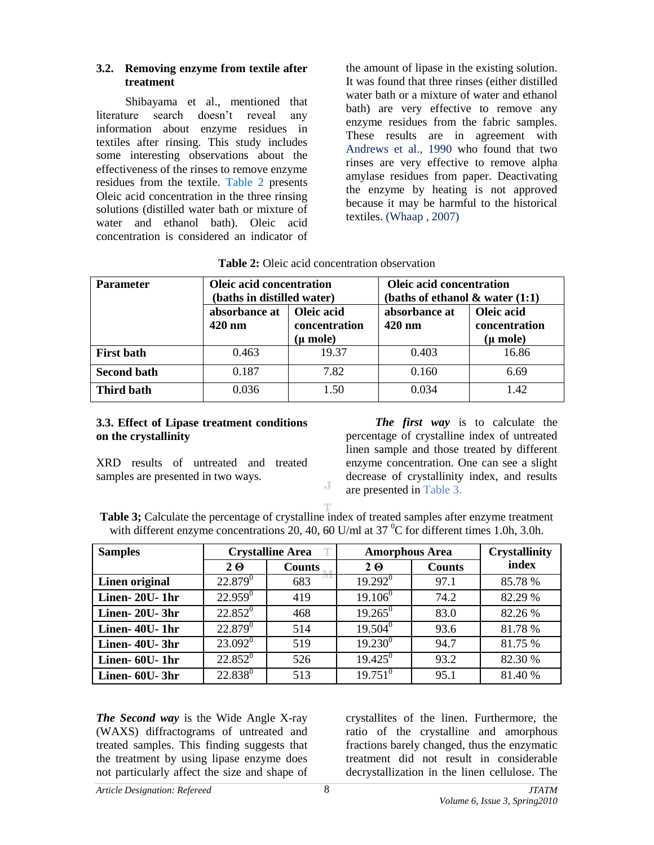#### **3.2. Removing enzyme from textile after treatment**

Shibayama et al., mentioned that literature search doesn't reveal any information about enzyme residues in textiles after rinsing. This study includes some interesting observations about the effectiveness of the rinses to remove enzyme residues from the textile. Table 2 presents Oleic acid concentration in the three rinsing solutions (distilled water bath or mixture of water and ethanol bath). Oleic acid concentration is considered an indicator of

the amount of lipase in the existing solution. It was found that three rinses (either distilled water bath or a mixture of water and ethanol bath) are very effective to remove any enzyme residues from the fabric samples. These results are in agreement with Andrews et al., 1990 who found that two rinses are very effective to remove alpha amylase residues from paper. Deactivating the enzyme by heating is not approved because it may be harmful to the historical textiles. (Whaap , 2007)

| <b>Parameter</b>                                                             | <b>Oleic acid concentration</b><br>(baths in distilled water) |       | <b>Oleic acid concentration</b><br>(baths of ethanol $\&$ water $(1:1)$ |                                         |  |
|------------------------------------------------------------------------------|---------------------------------------------------------------|-------|-------------------------------------------------------------------------|-----------------------------------------|--|
| Oleic acid<br>absorbance at<br>$420 \text{ nm}$<br>concentration<br>(µ mole) |                                                               |       | absorbance at<br>$420 \text{ nm}$                                       | Oleic acid<br>concentration<br>(µ mole) |  |
| <b>First bath</b>                                                            | 0.463                                                         | 19.37 | 0.403                                                                   | 16.86                                   |  |
| <b>Second bath</b>                                                           | 0.187                                                         | 7.82  | 0.160                                                                   | 6.69                                    |  |
| <b>Third bath</b>                                                            | 0.036                                                         | 1.50  | 0.034                                                                   | 1.42                                    |  |

**Table 2:** Oleic acid concentration observation

#### **3.3. Effect of Lipase treatment conditions on the crystallinity**

XRD results of untreated and treated samples are presented in two ways.

*The first way* is to calculate the percentage of crystalline index of untreated linen sample and those treated by different enzyme concentration. One can see a slight decrease of crystallinity index, and results are presented in Table 3.

Table 3; Calculate the percentage of crystalline index of treated samples after enzyme treatment with different enzyme concentrations 20, 40, 60 U/ml at  $37^{\circ}$ C for different times 1.0h, 3.0h.

J

| <b>Samples</b> |            | <b>Crystalline Area</b> |              | <b>Amorphous Area</b> |         |
|----------------|------------|-------------------------|--------------|-----------------------|---------|
|                | $2\Theta$  | <b>Counts</b>           | $2 \Theta$   | <b>Counts</b>         | index   |
| Linen original | $22.879^0$ | 683                     | $19.292^0$   | 97.1                  | 85.78 % |
| Linen-20U-1hr  | $22.959^0$ | 419                     | $19.106^0$   | 74.2                  | 82.29 % |
| Linen-20U-3hr  | $22.852^0$ | 468                     | $19.265^0$   | 83.0                  | 82.26 % |
| Linen-40U-1hr  | $22.879^0$ | 514                     | $19.504^0$   | 93.6                  | 81.78 % |
| Linen- 40U-3hr | $23.092^0$ | 519                     | $19.230^{0}$ | 94.7                  | 81.75 % |
| Linen- 60U-1hr | $22.852^0$ | 526                     | $19.425^0$   | 93.2                  | 82.30 % |
| Linen- 60U-3hr | $22.838^0$ | 513                     | $19.751^{0}$ | 95.1                  | 81.40%  |

*The Second way* is the Wide Angle X-ray (WAXS) diffractograms of untreated and treated samples. This finding suggests that the treatment by using lipase enzyme does not particularly affect the size and shape of

crystallites of the linen. Furthermore, the ratio of the crystalline and amorphous fractions barely changed, thus the enzymatic treatment did not result in considerable decrystallization in the linen cellulose. The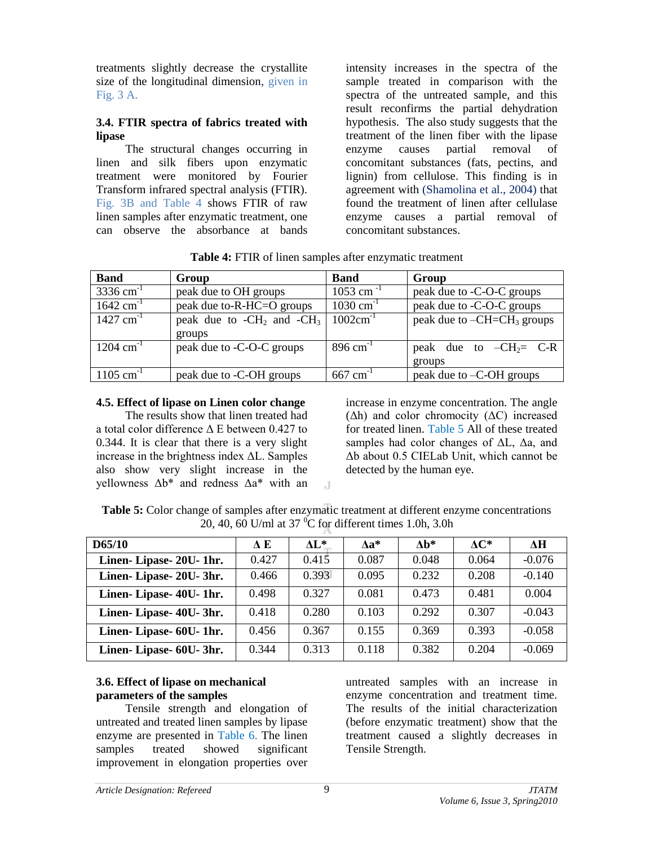treatments slightly decrease the crystallite size of the longitudinal dimension, given in Fig. 3 A.

#### **3.4. FTIR spectra of fabrics treated with lipase**

The structural changes occurring in linen and silk fibers upon enzymatic treatment were monitored by Fourier Transform infrared spectral analysis (FTIR). Fig. 3B and Table 4 shows FTIR of raw linen samples after enzymatic treatment, one can observe the absorbance at bands

intensity increases in the spectra of the sample treated in comparison with the spectra of the untreated sample, and this result reconfirms the partial dehydration hypothesis. The also study suggests that the treatment of the linen fiber with the lipase enzyme causes partial removal of concomitant substances (fats, pectins, and lignin) from cellulose. This finding is in agreement with (Shamolina et al., 2004) that found the treatment of linen after cellulase enzyme causes a partial removal of concomitant substances.

| <b>Band</b>             | Group                           | <b>Band</b>             | Group                        |
|-------------------------|---------------------------------|-------------------------|------------------------------|
| $3336$ cm <sup>-1</sup> | peak due to OH groups           | $1053$ cm <sup>-1</sup> | peak due to -C-O-C groups    |
| $1642 \text{ cm}^{-1}$  | peak due to-R-HC=O groups       | $1030 \text{ cm}^{-1}$  | peak due to -C-O-C groups    |
| $1427$ cm <sup>-1</sup> | peak due to $-CH_2$ and $-CH_3$ | $1002cm^{-1}$           | peak due to $-CH=CH3$ groups |
|                         | groups                          |                         |                              |
| $1204 \text{ cm}^{-1}$  | peak due to -C-O-C groups       | $896 \text{ cm}^{-1}$   | peak due to $-CH_2= C-R$     |
|                         |                                 |                         | groups                       |
| $1105$ cm <sup>-1</sup> | peak due to -C-OH groups        | $667$ cm <sup>-1</sup>  | peak due to -C-OH groups     |

**Table 4:** FTIR of linen samples after enzymatic treatment

#### **4.5. Effect of lipase on Linen color change**

The results show that linen treated had a total color difference Δ Ε between 0.427 to 0.344. It is clear that there is a very slight increase in the brightness index ΔL. Samples also show very slight increase in the yellowness Δb\* and redness Δa\* with an increase in enzyme concentration. The angle  $(\Delta h)$  and color chromocity  $(\Delta C)$  increased for treated linen. Table 5 All of these treated samples had color changes of ΔL, Δa, and Δb about 0.5 CIELab Unit, which cannot be detected by the human eye.

| Table 5: Color change of samples after enzymatic treatment at different enzyme concentrations |
|-----------------------------------------------------------------------------------------------|
| 20, 40, 60 U/ml at 37 $\mathrm{^0C}$ for different times 1.0h, 3.0h                           |

 $\overline{A}$ 

| D65/10                  | AЕ    | AL*   | $Aa^*$ | $\mathbf{Ab}^*$ | $AC^*$ | ЛH       |
|-------------------------|-------|-------|--------|-----------------|--------|----------|
| Linen-Lipase- 20U- 1hr. | 0.427 | 0.415 | 0.087  | 0.048           | 0.064  | $-0.076$ |
| Linen-Lipase- 20U-3hr.  | 0.466 | 0.393 | 0.095  | 0.232           | 0.208  | $-0.140$ |
| Linen-Lipase- 40U- 1hr. | 0.498 | 0.327 | 0.081  | 0.473           | 0.481  | 0.004    |
| Linen-Lipase- 40U-3hr.  | 0.418 | 0.280 | 0.103  | 0.292           | 0.307  | $-0.043$ |
| Linen-Lipase- 60U- 1hr. | 0.456 | 0.367 | 0.155  | 0.369           | 0.393  | $-0.058$ |
| Linen-Lipase- 60U-3hr.  | 0.344 | 0.313 | 0.118  | 0.382           | 0.204  | $-0.069$ |

### **3.6. Effect of lipase on mechanical parameters of the samples**

Tensile strength and elongation of untreated and treated linen samples by lipase enzyme are presented in Table 6. The linen samples treated showed significant improvement in elongation properties over

untreated samples with an increase in enzyme concentration and treatment time. The results of the initial characterization (before enzymatic treatment) show that the treatment caused a slightly decreases in Tensile Strength.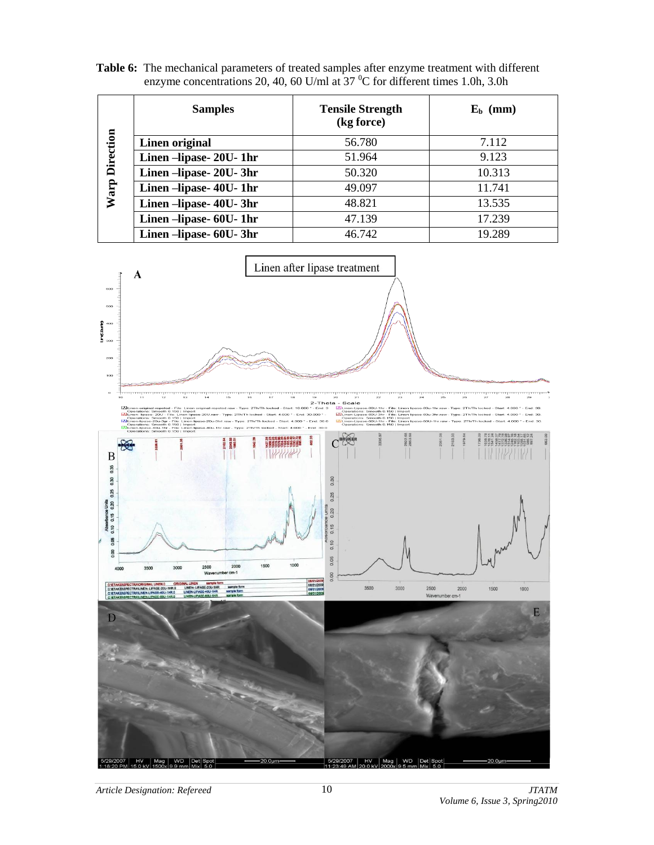Table 6: The mechanical parameters of treated samples after enzyme treatment with different enzyme concentrations 20, 40, 60 U/ml at  $37<sup>0</sup>C$  for different times 1.0h, 3.0h

|                  | <b>Samples</b>          | <b>Tensile Strength</b><br>(kg force) | $E_b$ (mm) |  |
|------------------|-------------------------|---------------------------------------|------------|--|
|                  | Linen original          | 56.780                                | 7.112      |  |
| <b>Direction</b> | Linen -lipase- 20U- 1hr | 51.964                                | 9.123      |  |
|                  | Linen -lipase- 20U-3hr  | 50.320                                | 10.313     |  |
| Warp             | Linen -lipase- 40U- 1hr | 49.097                                | 11.741     |  |
|                  | Linen –lipase- 40U-3hr  | 48.821                                | 13.535     |  |
|                  | Linen-lipase- 60U- 1hr  | 47.139                                | 17.239     |  |
|                  | Linen –lipase- 60U-3hr  | 46.742                                | 19.289     |  |

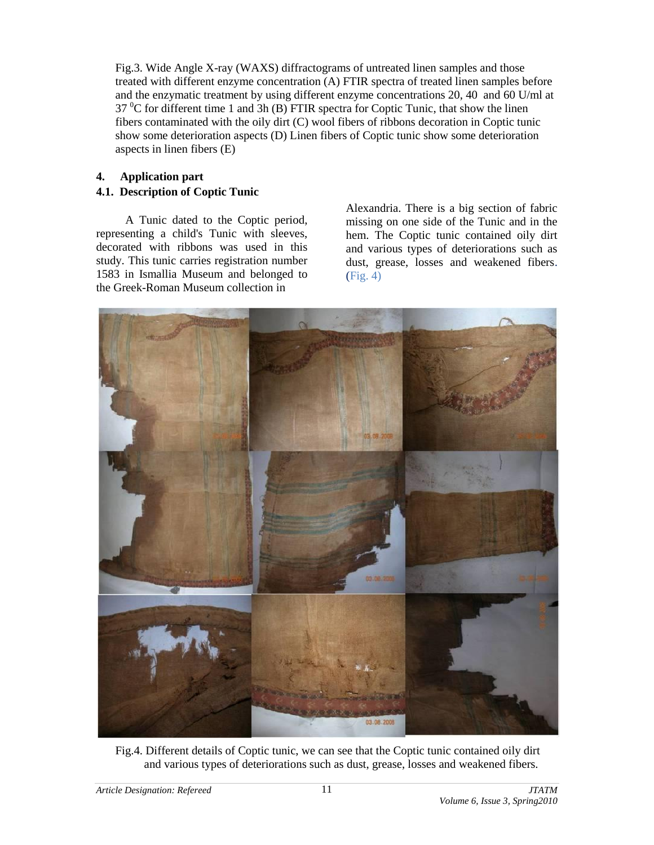Fig.3. Wide Angle X-ray (WAXS) diffractograms of untreated linen samples and those treated with different enzyme concentration (A) FTIR spectra of treated linen samples before and the enzymatic treatment by using different enzyme concentrations 20, 40 and 60 U/ml at  $37<sup>0</sup>C$  for different time 1 and 3h (B) FTIR spectra for Coptic Tunic, that show the linen fibers contaminated with the oily dirt (C) wool fibers of ribbons decoration in Coptic tunic show some deterioration aspects (D) Linen fibers of Coptic tunic show some deterioration aspects in linen fibers (E)

### **4. Application part**

# **4.1. Description of Coptic Tunic**

A Tunic dated to the Coptic period, representing a child's Tunic with sleeves, decorated with ribbons was used in this study. This tunic carries registration number 1583 in Ismallia Museum and belonged to the Greek-Roman Museum collection in

Alexandria. There is a big section of fabric missing on one side of the Tunic and in the hem. The Coptic tunic contained oily dirt and various types of deteriorations such as dust, grease, losses and weakened fibers. (Fig. 4)



Fig.4. Different details of Coptic tunic, we can see that the Coptic tunic contained oily dirt and various types of deteriorations such as dust, grease, losses and weakened fibers.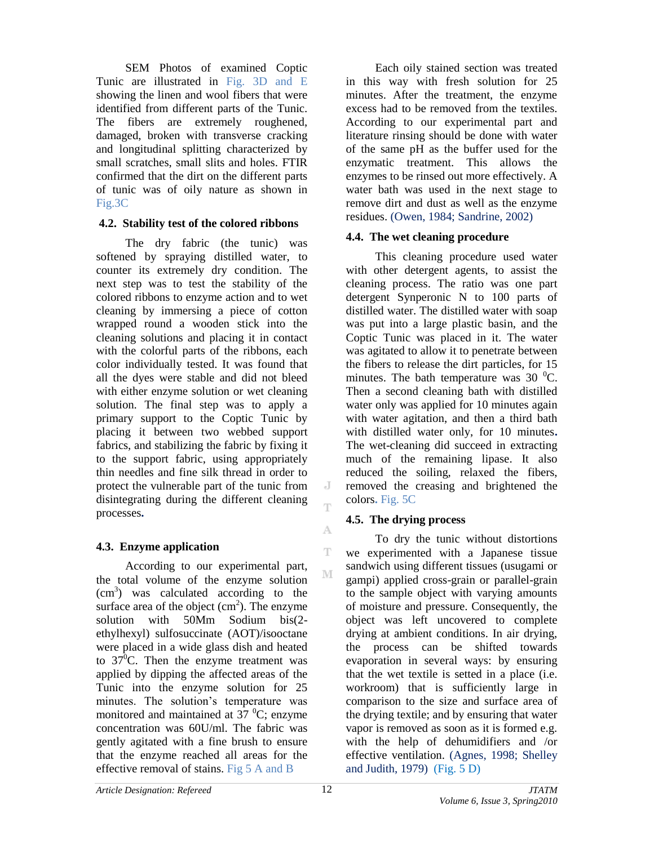SEM Photos of examined Coptic Tunic are illustrated in Fig. 3D and E showing the linen and wool fibers that were identified from different parts of the Tunic. The fibers are extremely roughened, damaged, broken with transverse cracking and longitudinal splitting characterized by small scratches, small slits and holes. FTIR confirmed that the dirt on the different parts of tunic was of oily nature as shown in Fig.3C

### **4.2. Stability test of the colored ribbons**

The dry fabric (the tunic) was softened by spraying distilled water, to counter its extremely dry condition. The next step was to test the stability of the colored ribbons to enzyme action and to wet cleaning by immersing a piece of cotton wrapped round a wooden stick into the cleaning solutions and placing it in contact with the colorful parts of the ribbons, each color individually tested. It was found that all the dyes were stable and did not bleed with either enzyme solution or wet cleaning solution. The final step was to apply a primary support to the Coptic Tunic by placing it between two webbed support fabrics, and stabilizing the fabric by fixing it to the support fabric, using appropriately thin needles and fine silk thread in order to protect the vulnerable part of the tunic from disintegrating during the different cleaning processes**.** 

# **4.3. Enzyme application**

According to our experimental part, the total volume of the enzyme solution  $(cm<sup>3</sup>)$  was calculated according to the surface area of the object  $(cm<sup>2</sup>)$ . The enzyme solution with 50Mm Sodium bis(2 ethylhexyl) sulfosuccinate (AOT)/isooctane were placed in a wide glass dish and heated to  $37^0$ C. Then the enzyme treatment was applied by dipping the affected areas of the Tunic into the enzyme solution for 25 minutes. The solution's temperature was monitored and maintained at  $37 \text{ °C}$ ; enzyme concentration was 60U/ml. The fabric was gently agitated with a fine brush to ensure that the enzyme reached all areas for the effective removal of stains. Fig 5 A and B

Each oily stained section was treated in this way with fresh solution for 25 minutes. After the treatment, the enzyme excess had to be removed from the textiles. According to our experimental part and literature rinsing should be done with water of the same pH as the buffer used for the enzymatic treatment. This allows the enzymes to be rinsed out more effectively. A water bath was used in the next stage to remove dirt and dust as well as the enzyme residues. (Owen, 1984; Sandrine, 2002)

### **4.4. The wet cleaning procedure**

This cleaning procedure used water with other detergent agents, to assist the cleaning process. The ratio was one part detergent Synperonic N to 100 parts of distilled water. The distilled water with soap was put into a large plastic basin, and the Coptic Tunic was placed in it. The water was agitated to allow it to penetrate between the fibers to release the dirt particles, for 15 minutes. The bath temperature was  $30\text{ °C}$ . Then a second cleaning bath with distilled water only was applied for 10 minutes again with water agitation, and then a third bath with distilled water only, for 10 minutes**.**  The wet-cleaning did succeed in extracting much of the remaining lipase. It also reduced the soiling, relaxed the fibers, removed the creasing and brightened the colors**.** Fig. 5C

# **4.5. The drying process**

To dry the tunic without distortions we experimented with a Japanese tissue sandwich using different tissues (usugami or gampi) applied cross-grain or parallel-grain to the sample object with varying amounts of moisture and pressure. Consequently, the object was left uncovered to complete drying at ambient conditions. In air drying, the process can be shifted towards evaporation in several ways: by ensuring that the wet textile is setted in a place (i.e. workroom) that is sufficiently large in comparison to the size and surface area of the drying textile; and by ensuring that water vapor is removed as soon as it is formed e.g. with the help of dehumidifiers and /or effective ventilation. (Agnes, 1998; Shelley and Judith, 1979) (Fig. 5 D)

J Ť

A T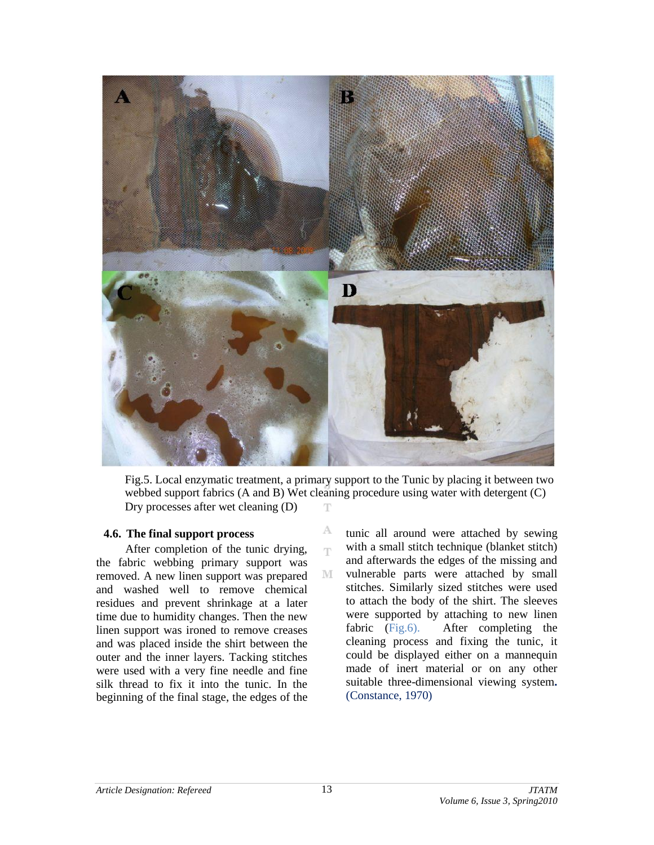

Fig.5. Local enzymatic treatment, a primary support to the Tunic by placing it between two webbed support fabrics (A and B) Wet cleaning procedure using water with detergent (C) Dry processes after wet cleaning (D) Т

> А T

M

#### **4.6. The final support process**

After completion of the tunic drying, the fabric webbing primary support was removed. A new linen support was prepared and washed well to remove chemical residues and prevent shrinkage at a later time due to humidity changes. Then the new linen support was ironed to remove creases and was placed inside the shirt between the outer and the inner layers. Tacking stitches were used with a very fine needle and fine silk thread to fix it into the tunic. In the beginning of the final stage, the edges of the tunic all around were attached by sewing with a small stitch technique (blanket stitch) and afterwards the edges of the missing and vulnerable parts were attached by small stitches. Similarly sized stitches were used to attach the body of the shirt. The sleeves were supported by attaching to new linen fabric (Fig.6). After completing the cleaning process and fixing the tunic, it could be displayed either on a mannequin made of inert material or on any other suitable three-dimensional viewing system**.**  (Constance, 1970)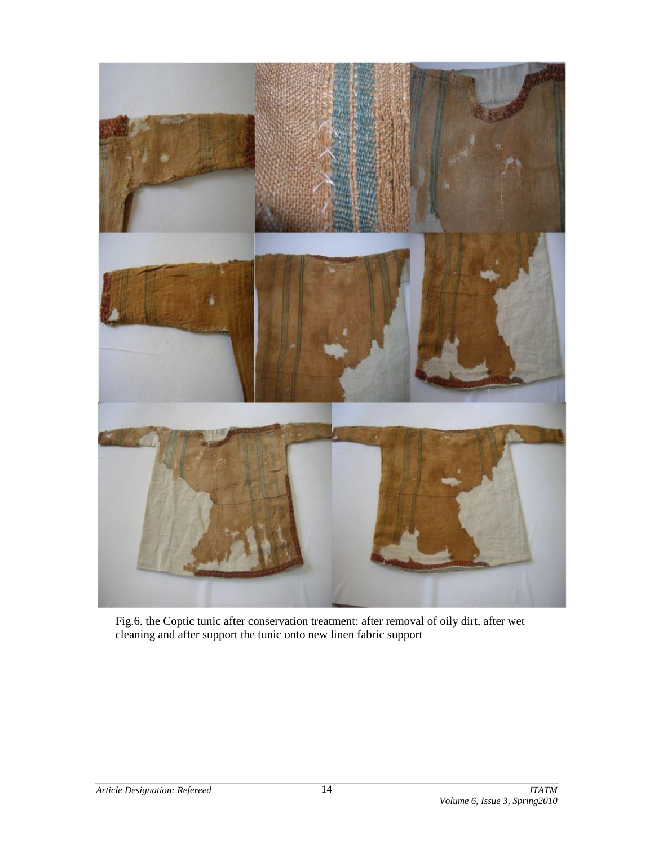

Fig.6. the Coptic tunic after conservation treatment: after removal of oily dirt, after wet cleaning and after support the tunic onto new linen fabric support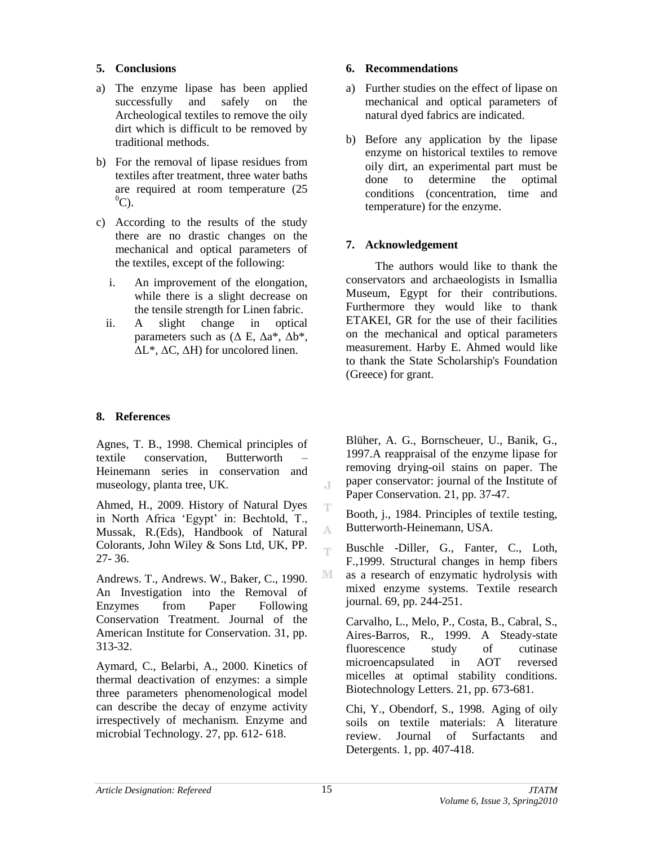#### **5. Conclusions**

- a) The enzyme lipase has been applied successfully and safely on the Archeological textiles to remove the oily dirt which is difficult to be removed by traditional methods.
- b) For the removal of lipase residues from textiles after treatment, three water baths are required at room temperature (25  $^0C$ ).
- c) According to the results of the study there are no drastic changes on the mechanical and optical parameters of the textiles, except of the following:
	- i. An improvement of the elongation, while there is a slight decrease on the tensile strength for Linen fabric.
	- ii. A slight change in optical parameters such as  $(\Delta E, \Delta a^*, \Delta b^*,$  $\Delta L^*$ ,  $\Delta C$ ,  $\Delta H$ ) for uncolored linen.

### **8. References**

Agnes, T. B., 1998. Chemical principles of textile conservation, Butterworth – Heinemann series in conservation and museology, planta tree, UK.

Ahmed, H., 2009. History of Natural Dyes in North Africa 'Egypt' in: Bechtold, T., Mussak, R.(Eds), Handbook of Natural Colorants, John Wiley & Sons Ltd, UK, PP. 27- 36.

Andrews. T., Andrews. W., Baker, C., 1990. An Investigation into the Removal of Enzymes from Paper Following Conservation Treatment. Journal of the American Institute for Conservation. 31, pp. 313-32.

Aymard, C., Belarbi, A., 2000. Kinetics of thermal deactivation of enzymes: a simple three parameters phenomenological model can describe the decay of enzyme activity irrespectively of mechanism. Enzyme and microbial Technology. 27, pp. 612- 618.

#### **6. Recommendations**

- a) Further studies on the effect of lipase on mechanical and optical parameters of natural dyed fabrics are indicated.
- b) Before any application by the lipase enzyme on historical textiles to remove oily dirt, an experimental part must be done to determine the optimal conditions (concentration, time and temperature) for the enzyme.

### **7. Acknowledgement**

The authors would like to thank the conservators and archaeologists in Ismallia Museum, Egypt for their contributions. Furthermore they would like to thank ETAKEI, GR for the use of their facilities on the mechanical and optical parameters measurement. Harby E. Ahmed would like to thank the State Scholarship's Foundation (Greece) for grant.

Blüher, A. G., Bornscheuer, U., Banik, G., 1997.A reappraisal of the enzyme lipase for removing drying-oil stains on paper. The paper conservator: journal of the Institute of Paper Conservation. 21, pp. 37-47.

Booth, j., 1984. Principles of textile testing, Butterworth-Heinemann, USA.

Buschle -Diller, G., Fanter, C., Loth, F.,1999. Structural changes in hemp fibers as a research of enzymatic hydrolysis with mixed enzyme systems. Textile research journal. 69, pp. 244-251.

Carvalho, L., Melo, P., Costa, B., Cabral, S., Aires-Barros, R., 1999. A Steady-state fluorescence study of cutinase microencapsulated in AOT reversed micelles at optimal stability conditions. Biotechnology Letters. 21, pp. 673-681.

Chi, Y., Obendorf, S., 1998. Aging of oily soils on textile materials: A literature review. Journal of Surfactants and Detergents. 1, pp. 407-418.

J.

T

A Ŧ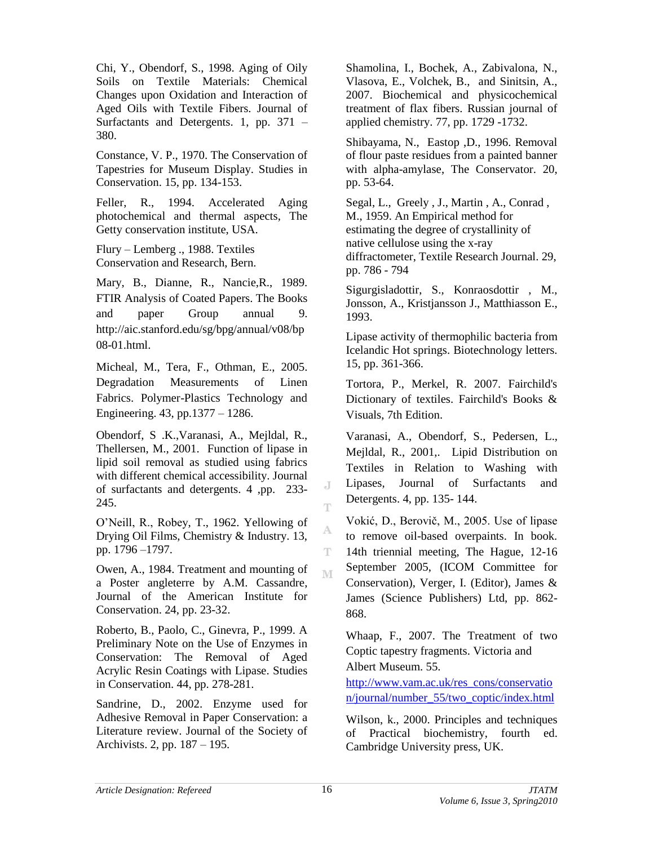Chi, Y., Obendorf, S., 1998. Aging of Oily Soils on Textile Materials: Chemical Changes upon Oxidation and Interaction of Aged Oils with Textile Fibers. Journal of Surfactants and Detergents. 1, pp. 371 – 380.

Constance, V. P., 1970. The Conservation of Tapestries for Museum Display. Studies in Conservation. 15, pp. 134-153.

Feller, R., 1994. Accelerated Aging photochemical and thermal aspects, The Getty conservation institute, USA.

Flury – Lemberg ., 1988. Textiles Conservation and Research, Bern.

Mary, B., Dianne, R., Nancie,R., 1989. FTIR Analysis of Coated Papers. The Books and paper Group annual 9. http://aic.stanford.edu/sg/bpg/annual/v08/bp 08-01.html.

Micheal, M., Tera, F., Othman, E., 2005. Degradation Measurements of Linen Fabrics. Polymer-Plastics Technology and Engineering. 43, pp.1377 – 1286.

Obendorf, S .K.,Varanasi, A., Mejldal, R., Thellersen, M., 2001. Function of lipase in lipid soil removal as studied using fabrics with different chemical accessibility. Journal of surfactants and detergents. 4 ,pp. 233- 245.

O'Neill, R., Robey, T., 1962. Yellowing of Drying Oil Films, Chemistry & Industry. 13, pp. 1796 –1797.

Owen, A., 1984. Treatment and mounting of a Poster angleterre by A.M. Cassandre, Journal of the American Institute for Conservation. 24, pp. 23-32.

Roberto, B., Paolo, C., Ginevra, P., 1999. A Preliminary Note on the Use of Enzymes in Conservation: The Removal of Aged Acrylic Resin Coatings with Lipase. Studies in Conservation. 44, pp. 278-281.

Sandrine, D., 2002. Enzyme used for Adhesive Removal in Paper Conservation: a Literature review. Journal of the Society of Archivists. 2, pp. 187 – 195.

Shamolina, I., Bochek, A., Zabivalona, N., Vlasova, E., Volchek, B., and Sinitsin, A., 2007. Biochemical and physicochemical treatment of flax fibers. Russian journal of applied chemistry. 77, pp. 1729 -1732.

Shibayama, N., Eastop ,D., 1996. Removal of flour paste residues from a painted banner with alpha-amylase, The Conservator. 20, pp. 53-64.

Segal, L., Greely , J., Martin , A., Conrad , M., 1959. An Empirical method for estimating the degree of crystallinity of native cellulose using the x-ray diffractometer, Textile Research Journal. 29, pp. 786 - 794

Sigurgisladottir, S., Konraosdottir , M., Jonsson, A., Kristjansson J., Matthiasson E., 1993.

Lipase activity of thermophilic bacteria from Icelandic Hot springs. Biotechnology letters. 15, pp. 361-366.

Tortora, P., Merkel, R. 2007. Fairchild's Dictionary of textiles. Fairchild's Books & Visuals, 7th Edition.

Varanasi, A., Obendorf, S., Pedersen, L., Mejldal, R., 2001,. Lipid Distribution on Textiles in Relation to Washing with Lipases, Journal of Surfactants and Detergents. 4, pp. 135- 144.

Vokić, D., Berovič, M., 2005. Use of lipase to remove oil-based overpaints. In book. 14th triennial meeting, The Hague, 12-16 September 2005, (ICOM Committee for Conservation), Verger, I. (Editor), James & James (Science Publishers) Ltd, pp. 862- 868.

Whaap, F., 2007. The Treatment of two Coptic tapestry fragments. Victoria and Albert Museum. 55.

[http://www.vam.ac.uk/res\\_cons/conservatio](http://www.vam.ac.uk/res_cons/conservation/journal/number_55/two_coptic/index.html) [n/journal/number\\_55/two\\_coptic/index.html](http://www.vam.ac.uk/res_cons/conservation/journal/number_55/two_coptic/index.html)

Wilson, k., 2000. Principles and techniques of Practical biochemistry, fourth ed. Cambridge University press, UK.

J Ŧ

A T